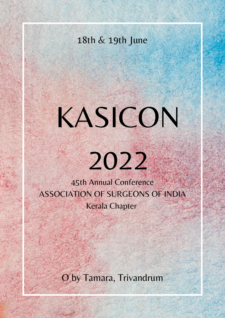# 18th & 19th June

# KASICON

# 2022

45th Annual Conference ASSOCIATION OF SURGEONS OF INDIA Kerala Chapter

O by Tamara, Trivandrum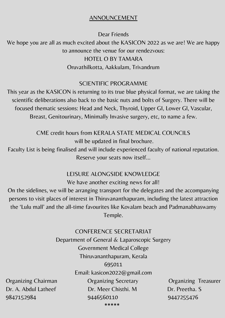#### ANNOUNCEMENT

Dear Friends We hope you are all as much excited about the KASICON 2022 as we are! We are happy to announce the venue for our rendezvous: HOTEL O BY TAMARA Oruvathilkotta, Aakkulam, Trivandrum

#### SCIENTIFIC PROGRAMME

This year as the KASICON is returning to its true blue physical format, we are taking the scientific deliberations also back to the basic nuts and bolts of Surgery. There will be focused thematic sessions: Head and Neck, Thyroid, Upper GI, Lower Gl, Vascular, Breast, Genitourinary, Minimally Invasive surgery, etc, to name a few.

> CME credit hours from KERALA STATE MEDICAL COUNCILS will be updated in final brochure.

Faculty List is being finalised and will include experienced faculty of national reputation. Reserve your seats now itself…

#### LEISURE ALONGSIDE KNOWLEDGE

We have another exciting news for all!

On the sidelines, we will be arranging transport for the delegates and the accompanying persons to visit places of interest in Thiruvananthapuram, including the latest attraction the 'Lulu mall' and the all-time favourites like Kovalam beach and Padmanabhaswamy Temple.

CONFERENCE SECRETARIAT Department of General & Laparoscopic Surgery Government Medical College Thiruvananthapuram, Kerala 695011 Email: kasicon2022@gmail.com Organizing Chairman Organizing Secretary Organizing Treasurer Dr. A. Abdul Latheef Dr. Meer Chisthi. M Dr. Preetha. S 9847152984 9446560110 9447255476

\*\*\*\*\*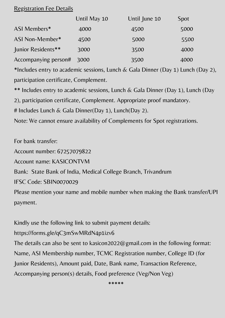#### Registration Fee Details

|                      | Until May 10 | Until June 10 | <b>Spot</b> |
|----------------------|--------------|---------------|-------------|
| ASI Members*         | 4000         | 4500          | 5000        |
| ASI Non-Member*      | 4500         | 5000          | 5500        |
| Junior Residents**   | 3000         | 3500          | 4000        |
| Accompanying person# | 3000         | 3500          | 4000        |

\*Includes entry to academic sessions, Lunch & Gala Dinner (Day 1) Lunch (Day 2), participation certificate, Complement.

\*\* Includes entry to academic sessions, Lunch & Gala Dinner (Day 1), Lunch (Day

2), participation certificate, Complement. Appropriate proof mandatory.

# Includes Lunch & Gala Dinner(Day 1), Lunch(Day 2).

Note: We cannot ensure availability of Complements for Spot registrations.

For bank transfer:

Account number: 67257079822

Account name: KASICONTVM

Bank: State Bank of India, Medical College Branch, Trivandrum

IFSC Code: SBIN0070029

Please mention your name and mobile number when making the Bank transfer/UPI payment.

Kindly use the following link to submit payment details:

https://forms.gle/qC3mSwMRdN4p1izv6

The details can also be sent to kasicon2022@gmail.com in the following format: Name, ASI Membership number, TCMC Registration number, College ID (for Junior Residents), Amount paid, Date, Bank name, Transaction Reference, Accompanying person(s) details, Food preference (Veg/Non Veg)

\*\*\*\*\*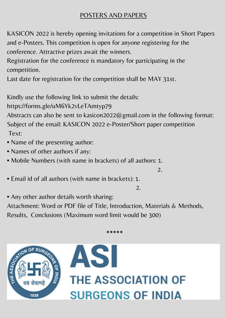### POSTERS AND PAPERS

KASICON 2022 is hereby opening invitations for a competition in Short Papers and e-Posters. This competition is open for anyone registering for the conference. Attractive prizes await the winners.

Registration for the conference is mandatory for participating in the competition.

Last date for registration for the competition shall be MAY 31st.

Kindly use the following link to submit the details:

https://forms.gle/uM6Yk2vLeTAmtyp79

Abstracts can also be sent to kasicon2022@gmail.com in the following format: Subject of the email: KASICON 2022 e-Poster/Short paper competition Text:

- Name of the presenting author:
- Names of other authors if any:
- Mobile Numbers (with name in brackets) of all authors: 1.

• Email id of all authors (with name in brackets): 1.

2.

2.

• Any other author details worth sharing:

Attachment: Word or PDF file of Title, Introduction, Materials & Methods, Results, Conclusions (Maximum word limit would be 300)

\*\*\*\*\*



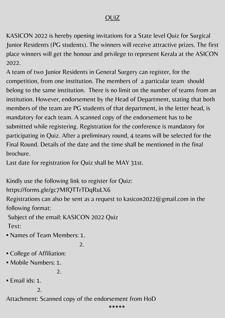## QUIZ

KASICON 2022 is hereby opening invitations for a State level Quiz for Surgical Junior Residents (PG students). The winners will receive attractive prizes. The first place winners will get the honour and privilege to represent Kerala at the ASICON 2022.

A team of two Junior Residents in General Surgery can register, for the competition, from one institution. The members of a particular team should belong to the same institution. There is no limit on the number of teams from an institution. However, endorsement by the Head of Department, stating that both members of the team are PG students of that department, in the letter head, is mandatory for each team. A scanned copy of the endorsement has to be submitted while registering. Registration for the conference is mandatory for participating in Quiz. After a preliminary round, 4 teams will be selected for the Final Round. Details of the date and the time shall be mentioned in the final brochure.

Last date for registration for Quiz shall be MAY 31st.

Kindly use the following link to register for Quiz:

https://forms.gle/gc7MfQTTrTDqRuLX6

Registrations can also be sent as a request to kasicon2022@gmail.com in the following format:

Subject of the email: KASICON 2022 Quiz Text:

• Names of Team Members: 1.

2.

- College of Affiliation:
- Mobile Numbers: 1.

2.

• Email ids: 1.

2.

Attachment: Scanned copy of the endorsement from HoD